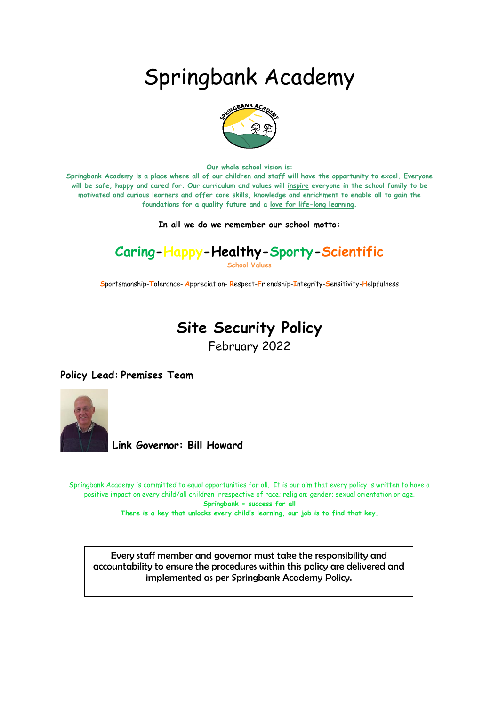# Springbank Academy



**Our whole school vision is:**

**Springbank Academy is a place where all of our children and staff will have the opportunity to excel. Everyone will be safe, happy and cared for. Our curriculum and values will inspire everyone in the school family to be motivated and curious learners and offer core skills, knowledge and enrichment to enable all to gain the foundations for a quality future and a love for life-long learning.**

**In all we do we remember our school motto:**

## **Caring-Happy-Healthy-Sporty-Scientific**

**School Values**

**S**portsmanship-**T**olerance- **A**ppreciation- **R**espect-**F**riendship-**I**ntegrity-**S**ensitivity-**H**elpfulness

## **Site Security Policy**

February 2022

**Policy Lead: Premises Team**



 **Link Governor: Bill Howard** 

Springbank Academy is committed to equal opportunities for all. It is our aim that every policy is written to have a positive impact on every child/all children irrespective of race; religion; gender; sexual orientation or age. **Springbank = success for all There is a key that unlocks every child's learning, our job is to find that key.**

Every staff member and governor must take the responsibility and accountability to ensure the procedures within this policy are delivered and implemented as per Springbank Academy Policy.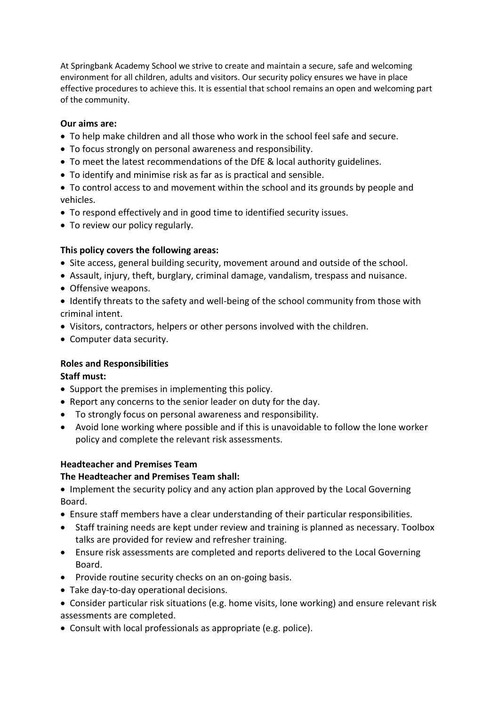At Springbank Academy School we strive to create and maintain a secure, safe and welcoming environment for all children, adults and visitors. Our security policy ensures we have in place effective procedures to achieve this. It is essential that school remains an open and welcoming part of the community.

## **Our aims are:**

- To help make children and all those who work in the school feel safe and secure.
- To focus strongly on personal awareness and responsibility.
- To meet the latest recommendations of the DfE & local authority guidelines.
- To identify and minimise risk as far as is practical and sensible.
- To control access to and movement within the school and its grounds by people and vehicles.
- To respond effectively and in good time to identified security issues.
- To review our policy regularly.

## **This policy covers the following areas:**

- Site access, general building security, movement around and outside of the school.
- Assault, injury, theft, burglary, criminal damage, vandalism, trespass and nuisance.
- Offensive weapons.
- Identify threats to the safety and well-being of the school community from those with criminal intent.
- Visitors, contractors, helpers or other persons involved with the children.
- Computer data security.

## **Roles and Responsibilities**

## **Staff must:**

- Support the premises in implementing this policy.
- Report any concerns to the senior leader on duty for the day.
- To strongly focus on personal awareness and responsibility.
- Avoid lone working where possible and if this is unavoidable to follow the lone worker policy and complete the relevant risk assessments.

## **Headteacher and Premises Team**

## **The Headteacher and Premises Team shall:**

- Implement the security policy and any action plan approved by the Local Governing Board.
- Ensure staff members have a clear understanding of their particular responsibilities.
- Staff training needs are kept under review and training is planned as necessary. Toolbox talks are provided for review and refresher training.
- Ensure risk assessments are completed and reports delivered to the Local Governing Board.
- Provide routine security checks on an on-going basis.
- Take day-to-day operational decisions.
- Consider particular risk situations (e.g. home visits, lone working) and ensure relevant risk assessments are completed.
- Consult with local professionals as appropriate (e.g. police).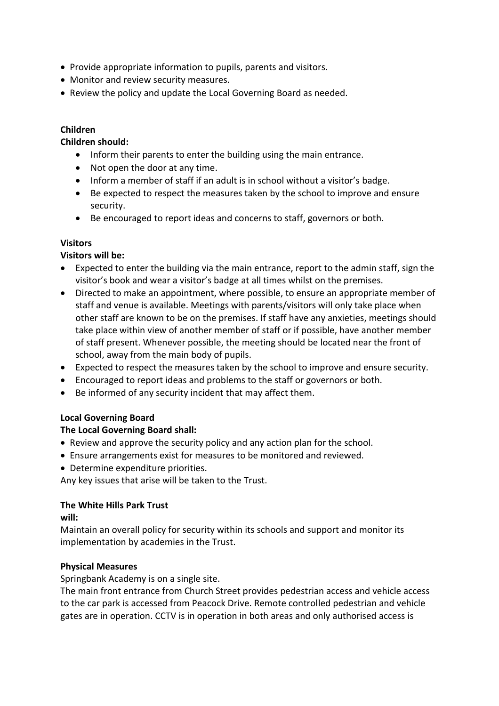- Provide appropriate information to pupils, parents and visitors.
- Monitor and review security measures.
- Review the policy and update the Local Governing Board as needed.

## **Children**

## **Children should:**

- Inform their parents to enter the building using the main entrance.
- Not open the door at any time.
- Inform a member of staff if an adult is in school without a visitor's badge.
- Be expected to respect the measures taken by the school to improve and ensure security.
- Be encouraged to report ideas and concerns to staff, governors or both.

## **Visitors**

## **Visitors will be:**

- Expected to enter the building via the main entrance, report to the admin staff, sign the visitor's book and wear a visitor's badge at all times whilst on the premises.
- Directed to make an appointment, where possible, to ensure an appropriate member of staff and venue is available. Meetings with parents/visitors will only take place when other staff are known to be on the premises. If staff have any anxieties, meetings should take place within view of another member of staff or if possible, have another member of staff present. Whenever possible, the meeting should be located near the front of school, away from the main body of pupils.
- Expected to respect the measures taken by the school to improve and ensure security.
- Encouraged to report ideas and problems to the staff or governors or both.
- Be informed of any security incident that may affect them.

## **Local Governing Board**

## **The Local Governing Board shall:**

- Review and approve the security policy and any action plan for the school.
- Ensure arrangements exist for measures to be monitored and reviewed.
- Determine expenditure priorities.

Any key issues that arise will be taken to the Trust.

## **The White Hills Park Trust**

## **will:**

Maintain an overall policy for security within its schools and support and monitor its implementation by academies in the Trust.

## **Physical Measures**

Springbank Academy is on a single site.

The main front entrance from Church Street provides pedestrian access and vehicle access to the car park is accessed from Peacock Drive. Remote controlled pedestrian and vehicle gates are in operation. CCTV is in operation in both areas and only authorised access is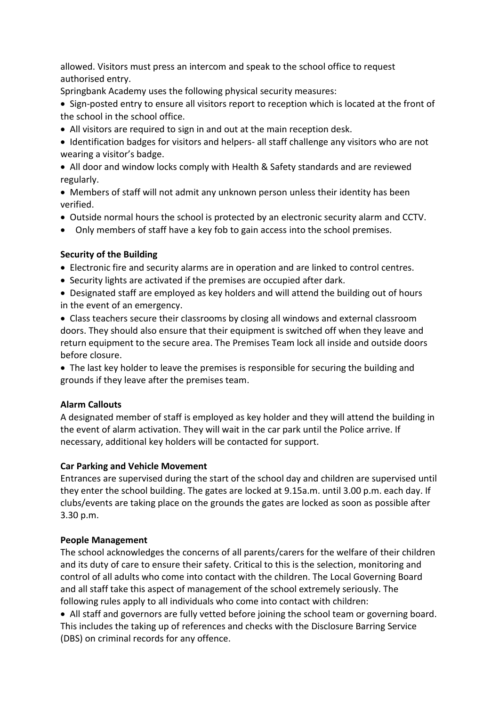allowed. Visitors must press an intercom and speak to the school office to request authorised entry.

Springbank Academy uses the following physical security measures:

- Sign-posted entry to ensure all visitors report to reception which is located at the front of the school in the school office.
- All visitors are required to sign in and out at the main reception desk.
- Identification badges for visitors and helpers- all staff challenge any visitors who are not wearing a visitor's badge.
- All door and window locks comply with Health & Safety standards and are reviewed regularly.
- Members of staff will not admit any unknown person unless their identity has been verified.
- Outside normal hours the school is protected by an electronic security alarm and CCTV.
- Only members of staff have a key fob to gain access into the school premises.

## **Security of the Building**

- Electronic fire and security alarms are in operation and are linked to control centres.
- Security lights are activated if the premises are occupied after dark.
- Designated staff are employed as key holders and will attend the building out of hours in the event of an emergency.
- Class teachers secure their classrooms by closing all windows and external classroom doors. They should also ensure that their equipment is switched off when they leave and return equipment to the secure area. The Premises Team lock all inside and outside doors before closure.

• The last key holder to leave the premises is responsible for securing the building and grounds if they leave after the premises team.

## **Alarm Callouts**

A designated member of staff is employed as key holder and they will attend the building in the event of alarm activation. They will wait in the car park until the Police arrive. If necessary, additional key holders will be contacted for support.

## **Car Parking and Vehicle Movement**

Entrances are supervised during the start of the school day and children are supervised until they enter the school building. The gates are locked at 9.15a.m. until 3.00 p.m. each day. If clubs/events are taking place on the grounds the gates are locked as soon as possible after 3.30 p.m.

## **People Management**

The school acknowledges the concerns of all parents/carers for the welfare of their children and its duty of care to ensure their safety. Critical to this is the selection, monitoring and control of all adults who come into contact with the children. The Local Governing Board and all staff take this aspect of management of the school extremely seriously. The following rules apply to all individuals who come into contact with children:

• All staff and governors are fully vetted before joining the school team or governing board. This includes the taking up of references and checks with the Disclosure Barring Service (DBS) on criminal records for any offence.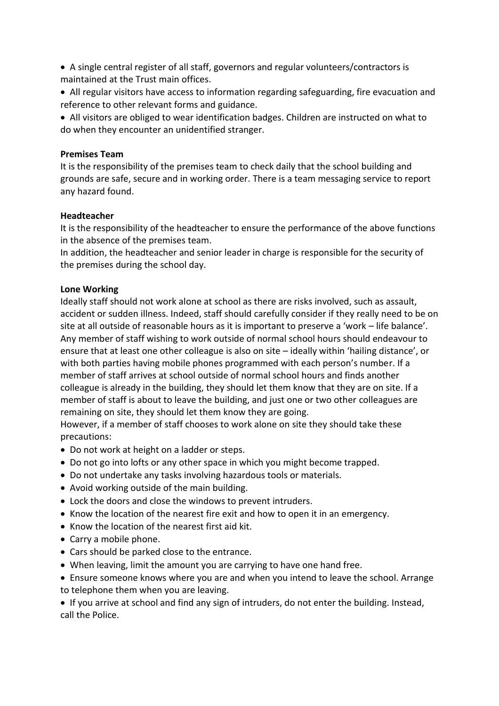• A single central register of all staff, governors and regular volunteers/contractors is maintained at the Trust main offices.

• All regular visitors have access to information regarding safeguarding, fire evacuation and reference to other relevant forms and guidance.

• All visitors are obliged to wear identification badges. Children are instructed on what to do when they encounter an unidentified stranger.

## **Premises Team**

It is the responsibility of the premises team to check daily that the school building and grounds are safe, secure and in working order. There is a team messaging service to report any hazard found.

## **Headteacher**

It is the responsibility of the headteacher to ensure the performance of the above functions in the absence of the premises team.

In addition, the headteacher and senior leader in charge is responsible for the security of the premises during the school day.

## **Lone Working**

Ideally staff should not work alone at school as there are risks involved, such as assault, accident or sudden illness. Indeed, staff should carefully consider if they really need to be on site at all outside of reasonable hours as it is important to preserve a 'work – life balance'. Any member of staff wishing to work outside of normal school hours should endeavour to ensure that at least one other colleague is also on site – ideally within 'hailing distance', or with both parties having mobile phones programmed with each person's number. If a member of staff arrives at school outside of normal school hours and finds another colleague is already in the building, they should let them know that they are on site. If a member of staff is about to leave the building, and just one or two other colleagues are remaining on site, they should let them know they are going.

However, if a member of staff chooses to work alone on site they should take these precautions:

- Do not work at height on a ladder or steps.
- Do not go into lofts or any other space in which you might become trapped.
- Do not undertake any tasks involving hazardous tools or materials.
- Avoid working outside of the main building.
- Lock the doors and close the windows to prevent intruders.
- Know the location of the nearest fire exit and how to open it in an emergency.
- Know the location of the nearest first aid kit.
- Carry a mobile phone.
- Cars should be parked close to the entrance.
- When leaving, limit the amount you are carrying to have one hand free.
- Ensure someone knows where you are and when you intend to leave the school. Arrange to telephone them when you are leaving.

• If you arrive at school and find any sign of intruders, do not enter the building. Instead, call the Police.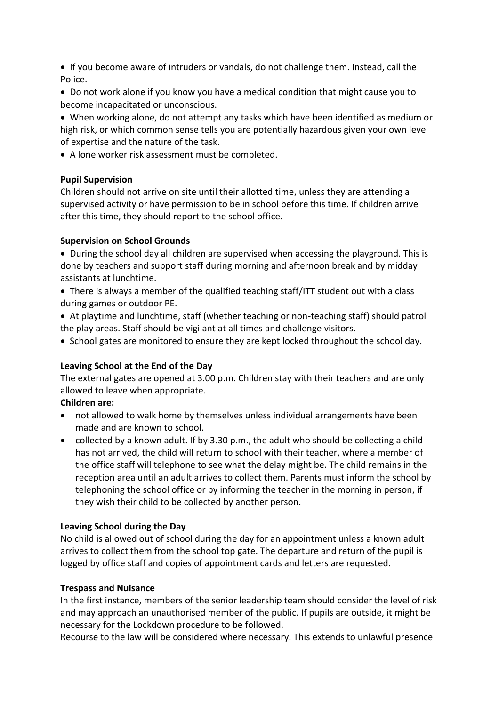• If you become aware of intruders or vandals, do not challenge them. Instead, call the Police.

• Do not work alone if you know you have a medical condition that might cause you to become incapacitated or unconscious.

• When working alone, do not attempt any tasks which have been identified as medium or high risk, or which common sense tells you are potentially hazardous given your own level of expertise and the nature of the task.

• A lone worker risk assessment must be completed.

## **Pupil Supervision**

Children should not arrive on site until their allotted time, unless they are attending a supervised activity or have permission to be in school before this time. If children arrive after this time, they should report to the school office.

## **Supervision on School Grounds**

• During the school day all children are supervised when accessing the playground. This is done by teachers and support staff during morning and afternoon break and by midday assistants at lunchtime.

• There is always a member of the qualified teaching staff/ITT student out with a class during games or outdoor PE.

• At playtime and lunchtime, staff (whether teaching or non-teaching staff) should patrol the play areas. Staff should be vigilant at all times and challenge visitors.

• School gates are monitored to ensure they are kept locked throughout the school day.

## **Leaving School at the End of the Day**

The external gates are opened at 3.00 p.m. Children stay with their teachers and are only allowed to leave when appropriate.

## **Children are:**

- not allowed to walk home by themselves unless individual arrangements have been made and are known to school.
- collected by a known adult. If by 3.30 p.m., the adult who should be collecting a child has not arrived, the child will return to school with their teacher, where a member of the office staff will telephone to see what the delay might be. The child remains in the reception area until an adult arrives to collect them. Parents must inform the school by telephoning the school office or by informing the teacher in the morning in person, if they wish their child to be collected by another person.

## **Leaving School during the Day**

No child is allowed out of school during the day for an appointment unless a known adult arrives to collect them from the school top gate. The departure and return of the pupil is logged by office staff and copies of appointment cards and letters are requested.

## **Trespass and Nuisance**

In the first instance, members of the senior leadership team should consider the level of risk and may approach an unauthorised member of the public. If pupils are outside, it might be necessary for the Lockdown procedure to be followed.

Recourse to the law will be considered where necessary. This extends to unlawful presence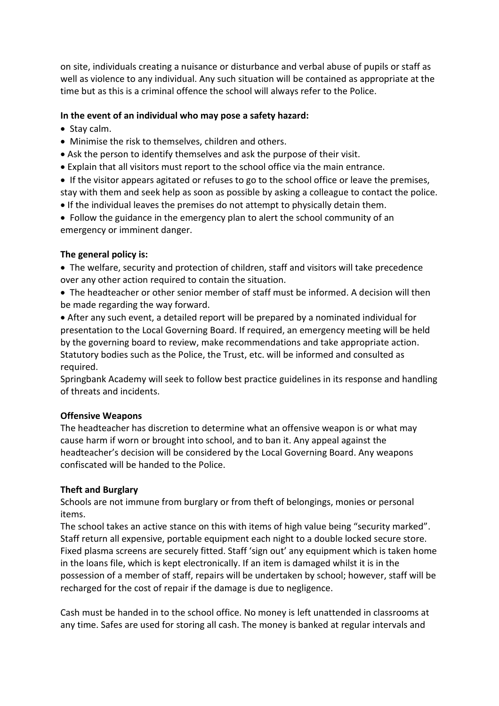on site, individuals creating a nuisance or disturbance and verbal abuse of pupils or staff as well as violence to any individual. Any such situation will be contained as appropriate at the time but as this is a criminal offence the school will always refer to the Police.

## **In the event of an individual who may pose a safety hazard:**

- Stay calm.
- Minimise the risk to themselves, children and others.
- Ask the person to identify themselves and ask the purpose of their visit.
- Explain that all visitors must report to the school office via the main entrance.
- If the visitor appears agitated or refuses to go to the school office or leave the premises,

stay with them and seek help as soon as possible by asking a colleague to contact the police.

- If the individual leaves the premises do not attempt to physically detain them.
- Follow the guidance in the emergency plan to alert the school community of an emergency or imminent danger.

## **The general policy is:**

• The welfare, security and protection of children, staff and visitors will take precedence over any other action required to contain the situation.

• The headteacher or other senior member of staff must be informed. A decision will then be made regarding the way forward.

• After any such event, a detailed report will be prepared by a nominated individual for presentation to the Local Governing Board. If required, an emergency meeting will be held by the governing board to review, make recommendations and take appropriate action. Statutory bodies such as the Police, the Trust, etc. will be informed and consulted as required.

Springbank Academy will seek to follow best practice guidelines in its response and handling of threats and incidents.

## **Offensive Weapons**

The headteacher has discretion to determine what an offensive weapon is or what may cause harm if worn or brought into school, and to ban it. Any appeal against the headteacher's decision will be considered by the Local Governing Board. Any weapons confiscated will be handed to the Police.

## **Theft and Burglary**

Schools are not immune from burglary or from theft of belongings, monies or personal items.

The school takes an active stance on this with items of high value being "security marked". Staff return all expensive, portable equipment each night to a double locked secure store. Fixed plasma screens are securely fitted. Staff 'sign out' any equipment which is taken home in the loans file, which is kept electronically. If an item is damaged whilst it is in the possession of a member of staff, repairs will be undertaken by school; however, staff will be recharged for the cost of repair if the damage is due to negligence.

Cash must be handed in to the school office. No money is left unattended in classrooms at any time. Safes are used for storing all cash. The money is banked at regular intervals and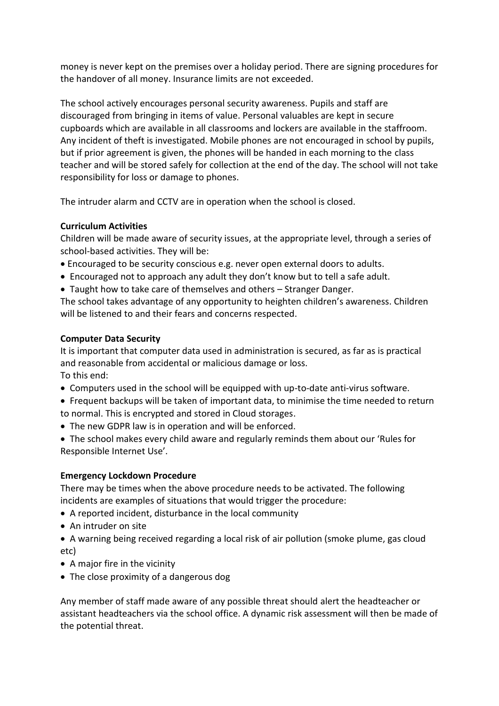money is never kept on the premises over a holiday period. There are signing procedures for the handover of all money. Insurance limits are not exceeded.

The school actively encourages personal security awareness. Pupils and staff are discouraged from bringing in items of value. Personal valuables are kept in secure cupboards which are available in all classrooms and lockers are available in the staffroom. Any incident of theft is investigated. Mobile phones are not encouraged in school by pupils, but if prior agreement is given, the phones will be handed in each morning to the class teacher and will be stored safely for collection at the end of the day. The school will not take responsibility for loss or damage to phones.

The intruder alarm and CCTV are in operation when the school is closed.

## **Curriculum Activities**

Children will be made aware of security issues, at the appropriate level, through a series of school-based activities. They will be:

- Encouraged to be security conscious e.g. never open external doors to adults.
- Encouraged not to approach any adult they don't know but to tell a safe adult.
- Taught how to take care of themselves and others Stranger Danger.

The school takes advantage of any opportunity to heighten children's awareness. Children will be listened to and their fears and concerns respected.

## **Computer Data Security**

It is important that computer data used in administration is secured, as far as is practical and reasonable from accidental or malicious damage or loss. To this end:

- Computers used in the school will be equipped with up-to-date anti-virus software.
- Frequent backups will be taken of important data, to minimise the time needed to return to normal. This is encrypted and stored in Cloud storages.
- The new GDPR law is in operation and will be enforced.
- The school makes every child aware and regularly reminds them about our 'Rules for Responsible Internet Use'.

## **Emergency Lockdown Procedure**

There may be times when the above procedure needs to be activated. The following incidents are examples of situations that would trigger the procedure:

- A reported incident, disturbance in the local community
- An intruder on site
- A warning being received regarding a local risk of air pollution (smoke plume, gas cloud etc)
- A major fire in the vicinity
- The close proximity of a dangerous dog

Any member of staff made aware of any possible threat should alert the headteacher or assistant headteachers via the school office. A dynamic risk assessment will then be made of the potential threat.